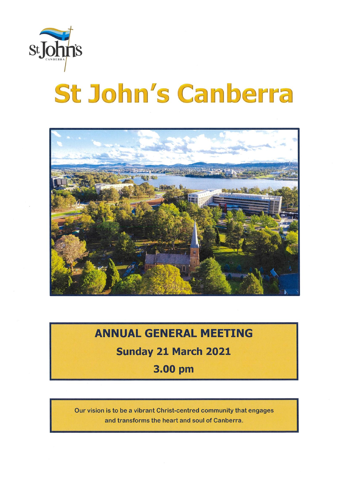

# **St John's Canberra**



## **ANNUAL GENERAL MEETING** Sunday 21 March 2021 3.00 pm

Our vision is to be a vibrant Christ-centred community that engages and transforms the heart and soul of Canberra.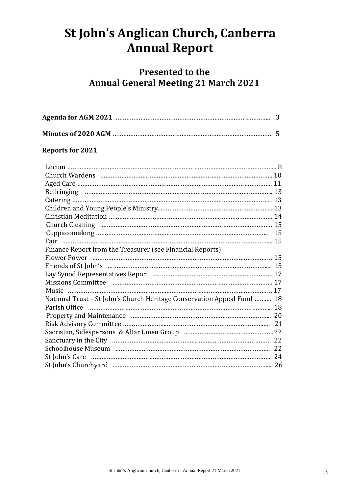## **St John's Anglican Church, Canberra Annual Report**

### **Presented to the Annual General Meeting 21 March 2021**

#### **Reports for 2021**

| Finance Report from the Treasurer (see Financial Reports)                                                       |  |
|-----------------------------------------------------------------------------------------------------------------|--|
| Flower Power manufactured and the contract of the contract of the contract of the contract of the contract of t |  |
| Friends of St John's manual content content and the content of the content of the content of the Tieran and Ti  |  |
|                                                                                                                 |  |
|                                                                                                                 |  |
|                                                                                                                 |  |
| National Trust - St John's Church Heritage Conservation Appeal Fund  18                                         |  |
|                                                                                                                 |  |
|                                                                                                                 |  |
|                                                                                                                 |  |
|                                                                                                                 |  |
|                                                                                                                 |  |
|                                                                                                                 |  |
|                                                                                                                 |  |
|                                                                                                                 |  |
|                                                                                                                 |  |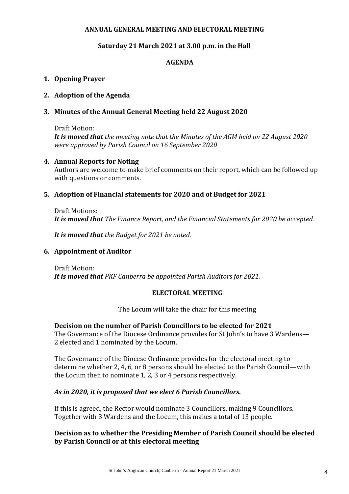#### **ANNUAL GENERAL MEETING AND ELECTORAL MEETING**

#### **Saturday 21 March 2021 at 3.00 p.m. in the Hall**

#### **AGENDA**

#### **1. Opening Prayer**

#### **2. Adoption of the Agenda**

#### **3. Minutes of the Annual General Meeting held 22 August 2020**

#### Draft Motion:

*It is moved that the meeting note that the Minutes of the AGM held on 22 August 2020 were approved by Parish Council on 16 September 2020*

#### **4. Annual Reports for Noting**

Authors are welcome to make brief comments on their report, which can be followed up with questions or comments.

#### **5. Adoption of Financial statements for 2020 and of Budget for 2021**

Draft Motions: *It is moved that The Finance Report, and the Financial Statements for 2020 be accepted.* 

*It is moved that the Budget for 2021 be noted.* 

#### **6. Appointment of Auditor**

Draft Motion: *It is moved that PKF Canberra be appointed Parish Auditors for 2021.* 

#### **ELECTORAL MEETING**

The Locum will take the chair for this meeting

#### **Decision on the number of Parish Councillors to be elected for 2021**

The Governance of the Diocese Ordinance provides for St John's to have 3 Wardens— 2 elected and 1 nominated by the Locum.

The Governance of the Diocese Ordinance provides for the electoral meeting to determine whether 2, 4, 6, or 8 persons should be elected to the Parish Council—with the Locum then to nominate 1, 2, 3 or 4 persons respectively.

#### *As in 2020, it is proposed that we elect 6 Parish Councillors.*

If this is agreed, the Rector would nominate 3 Councillors, making 9 Councillors. Together with 3 Wardens and the Locum, this makes a total of 13 people.

#### **Decision as to whether the Presiding Member of Parish Council should be elected by Parish Council or at this electoral meeting**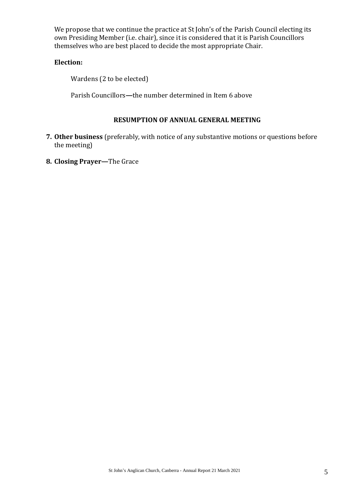We propose that we continue the practice at St John's of the Parish Council electing its own Presiding Member (i.e. chair), since it is considered that it is Parish Councillors themselves who are best placed to decide the most appropriate Chair.

#### **Election:**

Wardens (2 to be elected)

Parish Councillors**—**the number determined in Item 6 above

#### **RESUMPTION OF ANNUAL GENERAL MEETING**

- **7. Other business** (preferably, with notice of any substantive motions or questions before the meeting)
- **8. Closing Prayer—**The Grace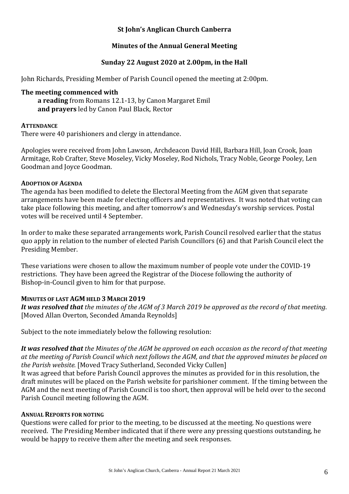#### **St John's Anglican Church Canberra**

#### **Minutes of the Annual General Meeting**

#### **Sunday 22 August 2020 at 2.00pm, in the Hall**

John Richards, Presiding Member of Parish Council opened the meeting at 2:00pm.

#### **The meeting commenced with**

**a reading** from Romans 12.1-13, by Canon Margaret Emil **and prayers** led by Canon Paul Black, Rector

#### **ATTENDANCE**

There were 40 parishioners and clergy in attendance.

Apologies were received from John Lawson, Archdeacon David Hill, Barbara Hill, Joan Crook, Joan Armitage, Rob Crafter, Steve Moseley, Vicky Moseley, Rod Nichols, Tracy Noble, George Pooley, Len Goodman and Joyce Goodman.

#### **ADOPTION OF AGENDA**

The agenda has been modified to delete the Electoral Meeting from the AGM given that separate arrangements have been made for electing officers and representatives. It was noted that voting can take place following this meeting, and after tomorrow's and Wednesday's worship services. Postal votes will be received until 4 September.

In order to make these separated arrangements work, Parish Council resolved earlier that the status quo apply in relation to the number of elected Parish Councillors (6) and that Parish Council elect the Presiding Member.

These variations were chosen to allow the maximum number of people vote under the COVID-19 restrictions. They have been agreed the Registrar of the Diocese following the authority of Bishop-in-Council given to him for that purpose.

#### **MINUTES OF LAST AGM HELD 3 MARCH 2019**

*It was resolved that the minutes of the AGM of 3 March 2019 be approved as the record of that meeting*. [Moved Allan Overton*,* Seconded Amanda Reynolds]

Subject to the note immediately below the following resolution:

*It was resolved that the Minutes of the AGM be approved on each occasion as the record of that meeting at the meeting of Parish Council which next follows the AGM, and that the approved minutes be placed on the Parish website.* [Moved Tracy Sutherland, Seconded Vicky Cullen]

It was agreed that before Parish Council approves the minutes as provided for in this resolution, the draft minutes will be placed on the Parish website for parishioner comment. If the timing between the AGM and the next meeting of Parish Council is too short, then approval will be held over to the second Parish Council meeting following the AGM.

#### **ANNUAL REPORTS FOR NOTING**

Questions were called for prior to the meeting, to be discussed at the meeting. No questions were received. The Presiding Member indicated that if there were any pressing questions outstanding, he would be happy to receive them after the meeting and seek responses.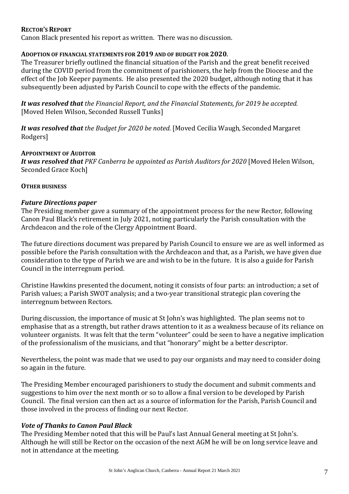#### **RECTOR'S REPORT**

Canon Black presented his report as written. There was no discussion.

#### **ADOPTION OF FINANCIAL STATEMENTS FOR 2019 AND OF BUDGET FOR 2020**.

The Treasurer briefly outlined the financial situation of the Parish and the great benefit received during the COVID period from the commitment of parishioners, the help from the Diocese and the effect of the Job Keeper payments. He also presented the 2020 budget, although noting that it has subsequently been adjusted by Parish Council to cope with the effects of the pandemic.

*It was resolved that the Financial Report, and the Financial Statements, for 2019 be accepted.* [Moved Helen Wilson, Seconded Russell Tunks]

*It was resolved that the Budget for 2020 be noted.* [Moved Cecilia Waugh*,* Seconded Margaret Rodgers]

#### **APPOINTMENT OF AUDITOR**

*It was resolved that PKF Canberra be appointed as Parish Auditors for 2020* [Moved Helen Wilson, Seconded Grace Koch]

#### **OTHER BUSINESS**

#### *Future Directions paper*

The Presiding member gave a summary of the appointment process for the new Rector, following Canon Paul Black's retirement in July 2021, noting particularly the Parish consultation with the Archdeacon and the role of the Clergy Appointment Board.

The future directions document was prepared by Parish Council to ensure we are as well informed as possible before the Parish consultation with the Archdeacon and that, as a Parish, we have given due consideration to the type of Parish we are and wish to be in the future. It is also a guide for Parish Council in the interregnum period.

Christine Hawkins presented the document, noting it consists of four parts: an introduction; a set of Parish values; a Parish SWOT analysis; and a two-year transitional strategic plan covering the interregnum between Rectors.

During discussion, the importance of music at St John's was highlighted. The plan seems not to emphasise that as a strength, but rather draws attention to it as a weakness because of its reliance on volunteer organists. It was felt that the term "volunteer" could be seen to have a negative implication of the professionalism of the musicians, and that "honorary" might be a better descriptor.

Nevertheless, the point was made that we used to pay our organists and may need to consider doing so again in the future.

The Presiding Member encouraged parishioners to study the document and submit comments and suggestions to him over the next month or so to allow a final version to be developed by Parish Council. The final version can then act as a source of information for the Parish, Parish Council and those involved in the process of finding our next Rector.

#### *Vote of Thanks to Canon Paul Black*

The Presiding Member noted that this will be Paul's last Annual General meeting at St John's. Although he will still be Rector on the occasion of the next AGM he will be on long service leave and not in attendance at the meeting.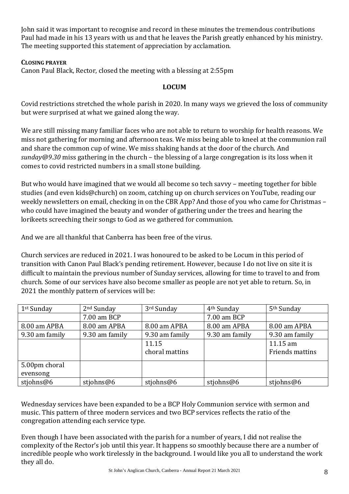John said it was important to recognise and record in these minutes the tremendous contributions Paul had made in his 13 years with us and that he leaves the Parish greatly enhanced by his ministry. The meeting supported this statement of appreciation by acclamation.

#### **CLOSING PRAYER**

Canon Paul Black, Rector, closed the meeting with a blessing at 2:55pm

#### **LOCUM**

Covid restrictions stretched the whole parish in 2020. In many ways we grieved the loss of community but were surprised at what we gained along the way.

We are still missing many familiar faces who are not able to return to worship for health reasons. We miss not gathering for morning and afternoon teas. We miss being able to kneel at the communion rail and share the common cup of wine. We miss shaking hands at the door of the church. And *sunday@9.30* miss gathering in the church – the blessing of a large congregation is its loss when it comes to covid restricted numbers in a small stone building.

But who would have imagined that we would all become so tech savvy – meeting together for bible studies (and even kids@church) on zoom, catching up on church services on YouTube, reading our weekly newsletters on email, checking in on the CBR App? And those of you who came for Christmas – who could have imagined the beauty and wonder of gathering under the trees and hearing the lorikeets screeching their songs to God as we gathered for communion.

And we are all thankful that Canberra has been free of the virus.

Church services are reduced in 2021. I was honoured to be asked to be Locum in this period of transition with Canon Paul Black's pending retirement. However, because I do not live on site it is difficult to maintain the previous number of Sunday services, allowing for time to travel to and from church. Some of our services have also become smaller as people are not yet able to return. So, in 2021 the monthly pattern of services will be:

| 1 <sup>st</sup> Sunday | $2nd$ Sunday   | 3rd Sunday     | 4 <sup>th</sup> Sunday | 5 <sup>th</sup> Sunday |
|------------------------|----------------|----------------|------------------------|------------------------|
|                        | 7.00 am BCP    |                | 7.00 am BCP            |                        |
| 8.00 am APBA           | 8.00 am APBA   | 8.00 am APBA   | 8.00 am APBA           | 8.00 am APBA           |
| 9.30 am family         | 9.30 am family | 9.30 am family | 9.30 am family         | 9.30 am family         |
|                        |                | 11.15          |                        | 11.15 am               |
|                        |                | choral mattins |                        | Friends mattins        |
| 5.00pm choral          |                |                |                        |                        |
| evensong               |                |                |                        |                        |
| stiohns@6              | stiohns@6      | stiohns@6      | stiohns@6              | stiohns@6              |

Wednesday services have been expanded to be a BCP Holy Communion service with sermon and music. This pattern of three modern services and two BCP services reflects the ratio of the congregation attending each service type.

Even though I have been associated with the parish for a number of years, I did not realise the complexity of the Rector's job until this year. It happens so smoothly because there are a number of incredible people who work tirelessly in the background. I would like you all to understand the work they all do.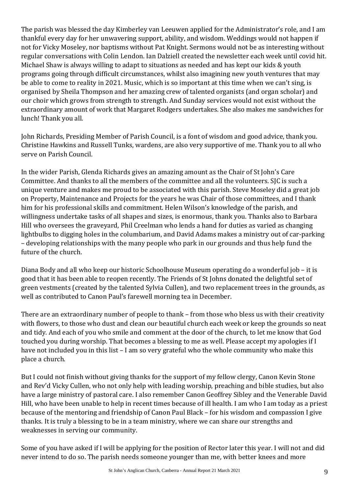The parish was blessed the day Kimberley van Leeuwen applied for the Administrator's role, and I am thankful every day for her unwavering support, ability, and wisdom. Weddings would not happen if not for Vicky Moseley, nor baptisms without Pat Knight. Sermons would not be as interesting without regular conversations with Colin Lendon. Ian Dalziell created the newsletter each week until covid hit. Michael Shaw is always willing to adapt to situations as needed and has kept our kids & youth programs going through difficult circumstances, whilst also imagining new youth ventures that may be able to come to reality in 2021. Music, which is so important at this time when we can't sing, is organised by Sheila Thompson and her amazing crew of talented organists (and organ scholar) and our choir which grows from strength to strength. And Sunday services would not exist without the extraordinary amount of work that Margaret Rodgers undertakes. She also makes me sandwiches for lunch! Thank you all.

John Richards, Presiding Member of Parish Council, is a font of wisdom and good advice, thank you. Christine Hawkins and Russell Tunks, wardens, are also very supportive of me. Thank you to all who serve on Parish Council.

In the wider Parish, Glenda Richards gives an amazing amount as the Chair of St John's Care Committee. And thanks to all the members of the committee and all the volunteers. SJC is such a unique venture and makes me proud to be associated with this parish. Steve Moseley did a great job on Property, Maintenance and Projects for the years he was Chair of those committees, and I thank him for his professional skills and commitment. Helen Wilson's knowledge of the parish, and willingness undertake tasks of all shapes and sizes, is enormous, thank you. Thanks also to Barbara Hill who oversees the graveyard, Phil Creelman who lends a hand for duties as varied as changing lightbulbs to digging holes in the columbarium, and David Adams makes a ministry out of car-parking – developing relationships with the many people who park in our grounds and thus help fund the future of the church.

Diana Body and all who keep our historic Schoolhouse Museum operating do a wonderful job – it is good that it has been able to reopen recently. The Friends of St Johns donated the delightful set of green vestments (created by the talented Sylvia Cullen), and two replacement trees in the grounds, as well as contributed to Canon Paul's farewell morning tea in December.

There are an extraordinary number of people to thank – from those who bless us with their creativity with flowers, to those who dust and clean our beautiful church each week or keep the grounds so neat and tidy. And each of you who smile and comment at the door of the church, to let me know that God touched you during worship. That becomes a blessing to me as well. Please accept my apologies if I have not included you in this list – I am so very grateful who the whole community who make this place a church.

But I could not finish without giving thanks for the support of my fellow clergy, Canon Kevin Stone and Rev'd Vicky Cullen, who not only help with leading worship, preaching and bible studies, but also have a large ministry of pastoral care. I also remember Canon Geoffrey Sibley and the Venerable David Hill, who have been unable to help in recent times because of ill health. I am who I am today as a priest because of the mentoring and friendship of Canon Paul Black – for his wisdom and compassion I give thanks. It is truly a blessing to be in a team ministry, where we can share our strengths and weaknesses in serving our community.

Some of you have asked if I will be applying for the position of Rector later this year. I will not and did never intend to do so. The parish needs someone younger than me, with better knees and more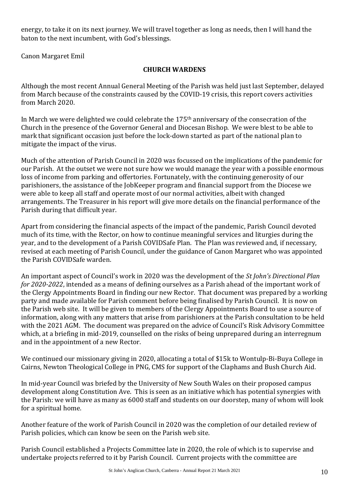energy, to take it on its next journey. We will travel together as long as needs, then I will hand the baton to the next incumbent, with God's blessings.

Canon Margaret Emil

#### **CHURCH WARDENS**

Although the most recent Annual General Meeting of the Parish was held just last September, delayed from March because of the constraints caused by the COVID-19 crisis, this report covers activities from March 2020.

In March we were delighted we could celebrate the 175<sup>th</sup> anniversary of the consecration of the Church in the presence of the Governor General and Diocesan Bishop. We were blest to be able to mark that significant occasion just before the lock-down started as part of the national plan to mitigate the impact of the virus.

Much of the attention of Parish Council in 2020 was focussed on the implications of the pandemic for our Parish. At the outset we were not sure how we would manage the year with a possible enormous loss of income from parking and offertories. Fortunately, with the continuing generosity of our parishioners, the assistance of the JobKeeper program and financial support from the Diocese we were able to keep all staff and operate most of our normal activities, albeit with changed arrangements. The Treasurer in his report will give more details on the financial performance of the Parish during that difficult year.

Apart from considering the financial aspects of the impact of the pandemic, Parish Council devoted much of its time, with the Rector, on how to continue meaningful services and liturgies during the year, and to the development of a Parish COVIDSafe Plan. The Plan was reviewed and, if necessary, revised at each meeting of Parish Council, under the guidance of Canon Margaret who was appointed the Parish COVIDSafe warden.

An important aspect of Council's work in 2020 was the development of the *St John's Directional Plan for 2020-2022*, intended as a means of defining ourselves as a Parish ahead of the important work of the Clergy Appointments Board in finding our new Rector. That document was prepared by a working party and made available for Parish comment before being finalised by Parish Council. It is now on the Parish web site. It will be given to members of the Clergy Appointments Board to use a source of information, along with any matters that arise from parishioners at the Parish consultation to be held with the 2021 AGM. The document was prepared on the advice of Council's Risk Advisory Committee which, at a briefing in mid-2019, counselled on the risks of being unprepared during an interregnum and in the appointment of a new Rector.

We continued our missionary giving in 2020, allocating a total of \$15k to Wontulp-Bi-Buya College in Cairns, Newton Theological College in PNG, CMS for support of the Claphams and Bush Church Aid.

In mid-year Council was briefed by the University of New South Wales on their proposed campus development along Constitution Ave. This is seen as an initiative which has potential synergies with the Parish: we will have as many as 6000 staff and students on our doorstep, many of whom will look for a spiritual home.

Another feature of the work of Parish Council in 2020 was the completion of our detailed review of Parish policies, which can know be seen on the Parish web site.

Parish Council established a Projects Committee late in 2020, the role of which is to supervise and undertake projects referred to it by Parish Council. Current projects with the committee are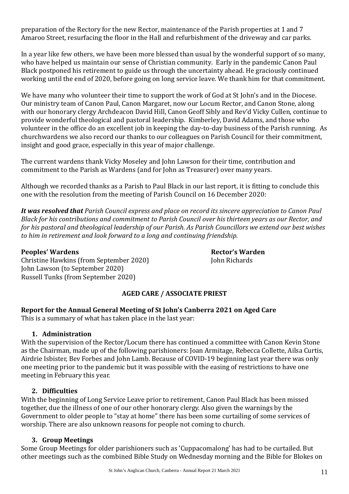preparation of the Rectory for the new Rector, maintenance of the Parish properties at 1 and 7 Amaroo Street, resurfacing the floor in the Hall and refurbishment of the driveway and car parks.

In a year like few others, we have been more blessed than usual by the wonderful support of so many, who have helped us maintain our sense of Christian community. Early in the pandemic Canon Paul Black postponed his retirement to guide us through the uncertainty ahead. He graciously continued working until the end of 2020, before going on long service leave. We thank him for that commitment.

We have many who volunteer their time to support the work of God at St John's and in the Diocese. Our ministry team of Canon Paul, Canon Margaret, now our Locum Rector, and Canon Stone, along with our honorary clergy Archdeacon David Hill, Canon Geoff Sibly and Rev'd Vicky Cullen, continue to provide wonderful theological and pastoral leadership. Kimberley, David Adams, and those who volunteer in the office do an excellent job in keeping the day-to-day business of the Parish running. As churchwardens we also record our thanks to our colleagues on Parish Council for their commitment, insight and good grace, especially in this year of major challenge.

The current wardens thank Vicky Moseley and John Lawson for their time, contribution and commitment to the Parish as Wardens (and for John as Treasurer) over many years.

Although we recorded thanks as a Parish to Paul Black in our last report, it is fitting to conclude this one with the resolution from the meeting of Parish Council on 16 December 2020:

*It was resolved that Parish Council express and place on record its sincere appreciation to Canon Paul Black for his contributions and commitment to Parish Council over his thirteen years as our Rector, and for his pastoral and theological leadership of our Parish. As Parish Councillors we extend our best wishes to him in retirement and look forward to a long and continuing friendship.*

#### **Peoples' Wardens Rector's Warden**

Christine Hawkins (from September 2020) John Richards John Lawson (to September 2020) Russell Tunks (from September 2020)

#### **AGED CARE / ASSOCIATE PRIEST**

**Report for the Annual General Meeting of St John's Canberra 2021 on Aged Care**

This is a summary of what has taken place in the last year:

#### **1. Administration**

With the supervision of the Rector/Locum there has continued a committee with Canon Kevin Stone as the Chairman, made up of the following parishioners: Joan Armitage, Rebecca Collette, Ailsa Curtis, Airdrie Isbister, Bev Forbes and John Lamb. Because of COVID-19 beginning last year there was only one meeting prior to the pandemic but it was possible with the easing of restrictions to have one meeting in February this year.

#### **2. Difficulties**

With the beginning of Long Service Leave prior to retirement, Canon Paul Black has been missed together, due the illness of one of our other honorary clergy. Also given the warnings by the Government to older people to "stay at home" there has been some curtailing of some services of worship. There are also unknown reasons for people not coming to church.

#### **3. Group Meetings**

Some Group Meetings for older parishioners such as 'Cuppacomalong' has had to be curtailed. But other meetings such as the combined Bible Study on Wednesday morning and the Bible for Blokes on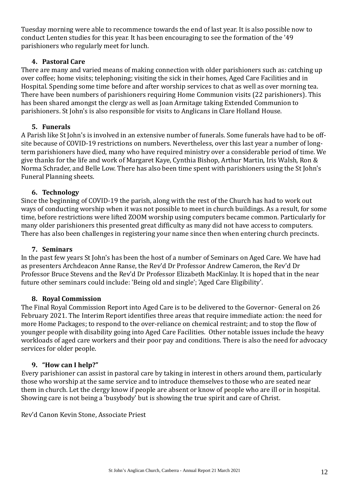Tuesday morning were able to recommence towards the end of last year. It is also possible now to conduct Lenten studies for this year. It has been encouraging to see the formation of the '49 parishioners who regularly meet for lunch.

#### **4. Pastoral Care**

There are many and varied means of making connection with older parishioners such as: catching up over coffee; home visits; telephoning; visiting the sick in their homes, Aged Care Facilities and in Hospital. Spending some time before and after worship services to chat as well as over morning tea. There have been numbers of parishioners requiring Home Communion visits (22 parishioners). This has been shared amongst the clergy as well as Joan Armitage taking Extended Communion to parishioners. St John's is also responsible for visits to Anglicans in Clare Holland House.

#### **5. Funerals**

A Parish like St John's is involved in an extensive number of funerals. Some funerals have had to be offsite because of COVID-19 restrictions on numbers. Nevertheless, over this last year a number of longterm parishioners have died, many who have required ministry over a considerable period of time. We give thanks for the life and work of Margaret Kaye, Cynthia Bishop, Arthur Martin, Iris Walsh, Ron & Norma Schrader, and Belle Low. There has also been time spent with parishioners using the St John's Funeral Planning sheets.

#### **6. Technology**

Since the beginning of COVID-19 the parish, along with the rest of the Church has had to work out ways of conducting worship when it was not possible to meet in church buildings. As a result, for some time, before restrictions were lifted ZOOM worship using computers became common. Particularly for many older parishioners this presented great difficulty as many did not have access to computers. There has also been challenges in registering your name since then when entering church precincts.

#### **7. Seminars**

In the past few years St John's has been the host of a number of Seminars on Aged Care. We have had as presenters Archdeacon Anne Ranse, the Rev'd Dr Professor Andrew Cameron, the Rev'd Dr Professor Bruce Stevens and the Rev'd Dr Professor Elizabeth MacKinlay. It is hoped that in the near future other seminars could include: 'Being old and single'; 'Aged Care Eligibility'.

#### **8. Royal Commission**

The Final Royal Commission Report into Aged Care is to be delivered to the Governor- General on 26 February 2021. The Interim Report identifies three areas that require immediate action: the need for more Home Packages; to respond to the over-reliance on chemical restraint; and to stop the flow of younger people with disability going into Aged Care Facilities. Other notable issues include the heavy workloads of aged care workers and their poor pay and conditions. There is also the need for advocacy services for older people.

#### **9. "How can I help?"**

Every parishioner can assist in pastoral care by taking in interest in others around them, particularly those who worship at the same service and to introduce themselves to those who are seated near them in church. Let the clergy know if people are absent or know of people who are ill or in hospital. Showing care is not being a 'busybody' but is showing the true spirit and care of Christ.

Rev'd Canon Kevin Stone, Associate Priest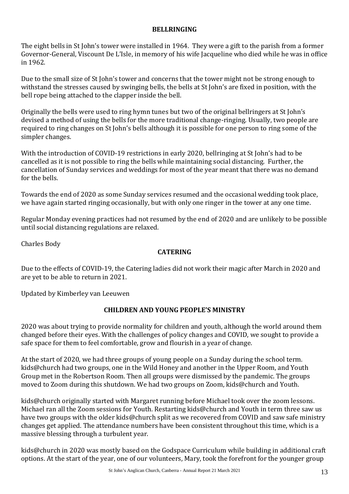#### **BELLRINGING**

The eight bells in St John's tower were installed in 1964. They were a gift to the parish from a former Governor-General, Viscount De L'Isle, in memory of his wife Jacqueline who died while he was in office in 1962.

Due to the small size of St John's tower and concerns that the tower might not be strong enough to withstand the stresses caused by swinging bells, the bells at St John's are fixed in position, with the bell rope being attached to the clapper inside the bell.

Originally the bells were used to ring hymn tunes but two of the original bellringers at St John's devised a method of using the bells for the more traditional change-ringing. Usually, two people are required to ring changes on St John's bells although it is possible for one person to ring some of the simpler changes.

With the introduction of COVID-19 restrictions in early 2020, bellringing at St John's had to be cancelled as it is not possible to ring the bells while maintaining social distancing. Further, the cancellation of Sunday services and weddings for most of the year meant that there was no demand for the bells.

Towards the end of 2020 as some Sunday services resumed and the occasional wedding took place, we have again started ringing occasionally, but with only one ringer in the tower at any one time.

Regular Monday evening practices had not resumed by the end of 2020 and are unlikely to be possible until social distancing regulations are relaxed.

Charles Body

#### **CATERING**

Due to the effects of COVID-19, the Catering ladies did not work their magic after March in 2020 and are yet to be able to return in 2021.

Updated by Kimberley van Leeuwen

#### **CHILDREN AND YOUNG PEOPLE'S MINISTRY**

2020 was about trying to provide normality for children and youth, although the world around them changed before their eyes. With the challenges of policy changes and COVID, we sought to provide a safe space for them to feel comfortable, grow and flourish in a year of change.

At the start of 2020, we had three groups of young people on a Sunday during the school term. kids@church had two groups, one in the Wild Honey and another in the Upper Room, and Youth Group met in the Robertson Room. Then all groups were dismissed by the pandemic. The groups moved to Zoom during this shutdown. We had two groups on Zoom, kids@church and Youth.

kids@church originally started with Margaret running before Michael took over the zoom lessons. Michael ran all the Zoom sessions for Youth. Restarting kids@church and Youth in term three saw us have two groups with the older kids@church split as we recovered from COVID and saw safe ministry changes get applied. The attendance numbers have been consistent throughout this time, which is a massive blessing through a turbulent year.

kids@church in 2020 was mostly based on the Godspace Curriculum while building in additional craft options. At the start of the year, one of our volunteers, Mary, took the forefront for the younger group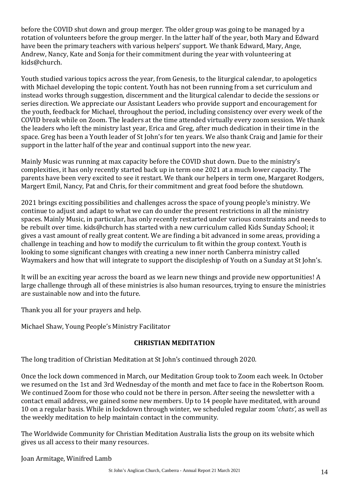before the COVID shut down and group merger. The older group was going to be managed by a rotation of volunteers before the group merger. In the latter half of the year, both Mary and Edward have been the primary teachers with various helpers' support. We thank Edward, Mary, Ange, Andrew, Nancy, Kate and Sonja for their commitment during the year with volunteering at kids@church.

Youth studied various topics across the year, from Genesis, to the liturgical calendar, to apologetics with Michael developing the topic content. Youth has not been running from a set curriculum and instead works through suggestion, discernment and the liturgical calendar to decide the sessions or series direction. We appreciate our Assistant Leaders who provide support and encouragement for the youth, feedback for Michael, throughout the period, including consistency over every week of the COVID break while on Zoom. The leaders at the time attended virtually every zoom session. We thank the leaders who left the ministry last year, Erica and Greg, after much dedication in their time in the space. Greg has been a Youth leader of St John's for ten years. We also thank Craig and Jamie for their support in the latter half of the year and continual support into the new year.

Mainly Music was running at max capacity before the COVID shut down. Due to the ministry's complexities, it has only recently started back up in term one 2021 at a much lower capacity. The parents have been very excited to see it restart. We thank our helpers in term one, Margaret Rodgers, Margert Emil, Nancy, Pat and Chris, for their commitment and great food before the shutdown.

2021 brings exciting possibilities and challenges across the space of young people's ministry. We continue to adjust and adapt to what we can do under the present restrictions in all the ministry spaces. Mainly Music, in particular, has only recently restarted under various constraints and needs to be rebuilt over time. kids@church has started with a new curriculum called Kids Sunday School; it gives a vast amount of really great content. We are finding a bit advanced in some areas, providing a challenge in teaching and how to modify the curriculum to fit within the group context. Youth is looking to some significant changes with creating a new inner north Canberra ministry called Waymakers and how that will integrate to support the discipleship of Youth on a Sunday at St John's.

It will be an exciting year across the board as we learn new things and provide new opportunities! A large challenge through all of these ministries is also human resources, trying to ensure the ministries are sustainable now and into the future.

Thank you all for your prayers and help.

Michael Shaw, Young People's Ministry Facilitator

#### **CHRISTIAN MEDITATION**

The long tradition of Christian Meditation at St John's continued through 2020.

Once the lock down commenced in March, our Meditation Group took to Zoom each week. In October we resumed on the 1st and 3rd Wednesday of the month and met face to face in the Robertson Room. We continued Zoom for those who could not be there in person. After seeing the newsletter with a contact email address, we gained some new members. Up to 14 people have meditated, with around 10 on a regular basis. While in lockdown through winter, we scheduled regular zoom '*chats',* as well as the weekly meditation to help maintain contact in the community.

The Worldwide Community for Christian Meditation Australia lists the group on its website which gives us all access to their many resources.

#### Joan Armitage, Winifred Lamb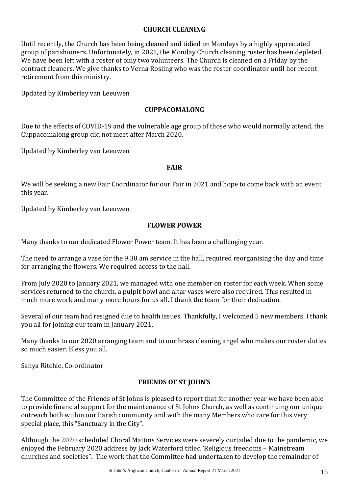#### **CHURCH CLEANING**

Until recently, the Church has been being cleaned and tidied on Mondays by a highly appreciated group of parishioners. Unfortunately, in 2021, the Monday Church cleaning roster has been depleted. We have been left with a roster of only two volunteers. The Church is cleaned on a Friday by the contract cleaners. We give thanks to Verna Rosling who was the roster coordinator until her recent retirement from this ministry.

Updated by Kimberley van Leeuwen

#### **CUPPACOMALONG**

Due to the effects of COVID-19 and the vulnerable age group of those who would normally attend, the Cuppacomalong group did not meet after March 2020.

Updated by Kimberley van Leeuwen

#### **FAIR**

We will be seeking a new Fair Coordinator for our Fair in 2021 and hope to come back with an event this year.

Updated by Kimberley van Leeuwen

#### **FLOWER POWER**

Many thanks to our dedicated Flower Power team. It has been a challenging year.

The need to arrange a vase for the 9.30 am service in the hall, required reorganising the day and time for arranging the flowers. We required access to the hall.

From July 2020 to January 2021, we managed with one member on roster for each week. When some services returned to the church, a pulpit bowl and altar vases were also required. This resulted in much more work and many more hours for us all. I thank the team for their dedication.

Several of our team had resigned due to health issues. Thankfully, I welcomed 5 new members. I thank you all for joining our team in January 2021.

Many thanks to our 2020 arranging team and to our brass cleaning angel who makes our roster duties so much easier. Bless you all.

Sanya Ritchie, Co-ordinator

#### **FRIENDS OF ST JOHN'S**

The Committee of the Friends of St Johns is pleased to report that for another year we have been able to provide financial support for the maintenance of St Johns Church, as well as continuing our unique outreach both within our Parish community and with the many Members who care for this very special place, this "Sanctuary in the City".

Although the 2020 scheduled Choral Mattins Services were severely curtailed due to the pandemic, we enjoyed the February 2020 address by Jack Waterford titled 'Religious freedoms – Mainstream churches and societies". The work that the Committee had undertaken to develop the remainder of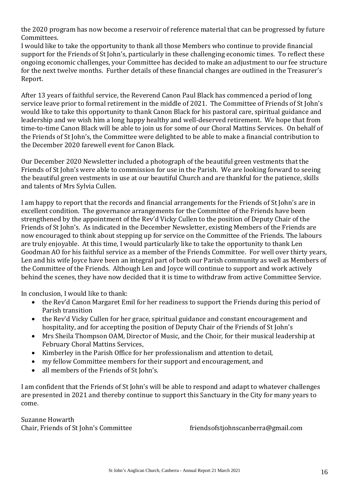the 2020 program has now become a reservoir of reference material that can be progressed by future Committees.

I would like to take the opportunity to thank all those Members who continue to provide financial support for the Friends of St John's, particularly in these challenging economic times. To reflect these ongoing economic challenges, your Committee has decided to make an adjustment to our fee structure for the next twelve months. Further details of these financial changes are outlined in the Treasurer's Report.

After 13 years of faithful service, the Reverend Canon Paul Black has commenced a period of long service leave prior to formal retirement in the middle of 2021. The Committee of Friends of St John's would like to take this opportunity to thank Canon Black for his pastoral care, spiritual guidance and leadership and we wish him a long happy healthy and well-deserved retirement. We hope that from time-to-time Canon Black will be able to join us for some of our Choral Mattins Services. On behalf of the Friends of St John's, the Committee were delighted to be able to make a financial contribution to the December 2020 farewell event for Canon Black.

Our December 2020 Newsletter included a photograph of the beautiful green vestments that the Friends of St John's were able to commission for use in the Parish. We are looking forward to seeing the beautiful green vestments in use at our beautiful Church and are thankful for the patience, skills and talents of Mrs Sylvia Cullen.

I am happy to report that the records and financial arrangements for the Friends of St John's are in excellent condition. The governance arrangements for the Committee of the Friends have been strengthened by the appointment of the Rev'd Vicky Cullen to the position of Deputy Chair of the Friends of St John's. As indicated in the December Newsletter, existing Members of the Friends are now encouraged to think about stepping up for service on the Committee of the Friends. The labours are truly enjoyable. At this time, I would particularly like to take the opportunity to thank Len Goodman AO for his faithful service as a member of the Friends Committee. For well over thirty years, Len and his wife Joyce have been an integral part of both our Parish community as well as Members of the Committee of the Friends. Although Len and Joyce will continue to support and work actively behind the scenes, they have now decided that it is time to withdraw from active Committee Service.

In conclusion, I would like to thank:

- the Rev'd Canon Margaret Emil for her readiness to support the Friends during this period of Parish transition
- the Rev'd Vicky Cullen for her grace, spiritual guidance and constant encouragement and hospitality, and for accepting the position of Deputy Chair of the Friends of St John's
- Mrs Sheila Thompson OAM, Director of Music, and the Choir, for their musical leadership at February Choral Mattins Services,
- Kimberley in the Parish Office for her professionalism and attention to detail,
- my fellow Committee members for their support and encouragement, and
- all members of the Friends of St John's.

I am confident that the Friends of St John's will be able to respond and adapt to whatever challenges are presented in 2021 and thereby continue to support this Sanctuary in the City for many years to come.

Suzanne Howarth

Chair, Friends of St John's Committee friendsofstiohnscanberra@gmail.com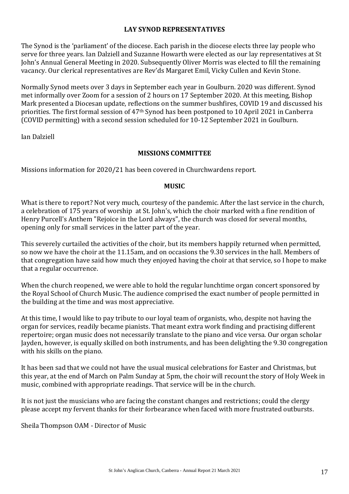#### **LAY SYNOD REPRESENTATIVES**

The Synod is the 'parliament' of the diocese. Each parish in the diocese elects three lay people who serve for three years. Ian Dalziell and Suzanne Howarth were elected as our lay representatives at St John's Annual General Meeting in 2020. Subsequently Oliver Morris was elected to fill the remaining vacancy. Our clerical representatives are Rev'ds Margaret Emil, Vicky Cullen and Kevin Stone.

Normally Synod meets over 3 days in September each year in Goulburn. 2020 was different. Synod met informally over Zoom for a session of 2 hours on 17 September 2020. At this meeting, Bishop Mark presented a Diocesan update, reflections on the summer bushfires, COVID 19 and discussed his priorities. The first formal session of 47th Synod has been postponed to 10 April 2021 in Canberra (COVID permitting) with a second session scheduled for 10-12 September 2021 in Goulburn.

Ian Dalziell

#### **MISSIONS COMMITTEE**

Missions information for 2020/21 has been covered in Churchwardens report.

#### **MUSIC**

What is there to report? Not very much, courtesy of the pandemic. After the last service in the church, a celebration of 175 years of worship at St. John's, which the choir marked with a fine rendition of Henry Purcell's Anthem "Rejoice in the Lord always", the church was closed for several months, opening only for small services in the latter part of the year.

This severely curtailed the activities of the choir, but its members happily returned when permitted, so now we have the choir at the 11.15am, and on occasions the 9.30 services in the hall. Members of that congregation have said how much they enjoyed having the choir at that service, so I hope to make that a regular occurrence.

When the church reopened, we were able to hold the regular lunchtime organ concert sponsored by the Royal School of Church Music. The audience comprised the exact number of people permitted in the building at the time and was most appreciative.

At this time, I would like to pay tribute to our loyal team of organists, who, despite not having the organ for services, readily became pianists. That meant extra work finding and practising different repertoire; organ music does not necessarily translate to the piano and vice versa. Our organ scholar Jayden, however, is equally skilled on both instruments, and has been delighting the 9.30 congregation with his skills on the piano.

It has been sad that we could not have the usual musical celebrations for Easter and Christmas, but this year, at the end of March on Palm Sunday at 5pm, the choir will recount the story of Holy Week in music, combined with appropriate readings. That service will be in the church.

It is not just the musicians who are facing the constant changes and restrictions; could the clergy please accept my fervent thanks for their forbearance when faced with more frustrated outbursts.

Sheila Thompson OAM - Director of Music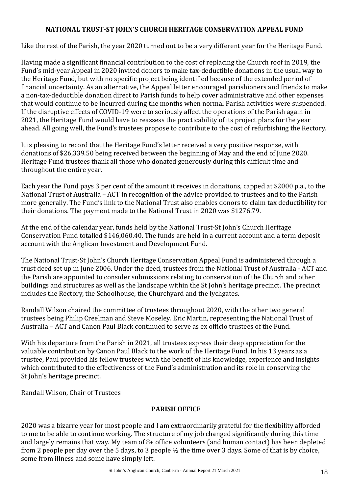#### **NATIONAL TRUST-ST JOHN'S CHURCH HERITAGE CONSERVATION APPEAL FUND**

Like the rest of the Parish, the year 2020 turned out to be a very different year for the Heritage Fund.

Having made a significant financial contribution to the cost of replacing the Church roof in 2019, the Fund's mid-year Appeal in 2020 invited donors to make tax-deductible donations in the usual way to the Heritage Fund, but with no specific project being identified because of the extended period of financial uncertainty. As an alternative, the Appeal letter encouraged parishioners and friends to make a non-tax-deductible donation direct to Parish funds to help cover administrative and other expenses that would continue to be incurred during the months when normal Parish activities were suspended. If the disruptive effects of COVID-19 were to seriously affect the operations of the Parish again in 2021, the Heritage Fund would have to reassess the practicability of its project plans for the year ahead. All going well, the Fund's trustees propose to contribute to the cost of refurbishing the Rectory.

It is pleasing to record that the Heritage Fund's letter received a very positive response, with donations of \$26,339.50 being received between the beginning of May and the end of June 2020. Heritage Fund trustees thank all those who donated generously during this difficult time and throughout the entire year.

Each year the Fund pays 3 per cent of the amount it receives in donations, capped at \$2000 p.a., to the National Trust of Australia – ACT in recognition of the advice provided to trustees and to the Parish more generally. The Fund's link to the National Trust also enables donors to claim tax deductibility for their donations. The payment made to the National Trust in 2020 was \$1276.79.

At the end of the calendar year, funds held by the National Trust-St John's Church Heritage Conservation Fund totalled \$146,060.40. The funds are held in a current account and a term deposit account with the Anglican Investment and Development Fund.

The National Trust-St John's Church Heritage Conservation Appeal Fund is administered through a trust deed set up in June 2006. Under the deed, trustees from the National Trust of Australia - ACT and the Parish are appointed to consider submissions relating to conservation of the Church and other buildings and structures as well as the landscape within the St John's heritage precinct. The precinct includes the Rectory, the Schoolhouse, the Churchyard and the lychgates.

Randall Wilson chaired the committee of trustees throughout 2020, with the other two general trustees being Philip Creelman and Steve Moseley. Eric Martin, representing the National Trust of Australia – ACT and Canon Paul Black continued to serve as ex officio trustees of the Fund.

With his departure from the Parish in 2021, all trustees express their deep appreciation for the valuable contribution by Canon Paul Black to the work of the Heritage Fund. In his 13 years as a trustee, Paul provided his fellow trustees with the benefit of his knowledge, experience and insights which contributed to the effectiveness of the Fund's administration and its role in conserving the St John's heritage precinct.

Randall Wilson, Chair of Trustees

#### **PARISH OFFICE**

2020 was a bizarre year for most people and I am extraordinarily grateful for the flexibility afforded to me to be able to continue working. The structure of my job changed significantly during this time and largely remains that way. My team of 8+ office volunteers (and human contact) has been depleted from 2 people per day over the 5 days, to 3 people ½ the time over 3 days. Some of that is by choice, some from illness and some have simply left.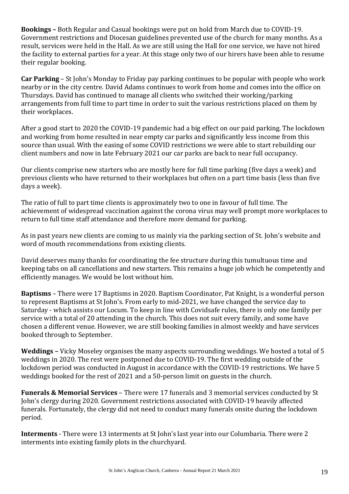**Bookings –** Both Regular and Casual bookings were put on hold from March due to COVID-19. Government restrictions and Diocesan guidelines prevented use of the church for many months. As a result, services were held in the Hall. As we are still using the Hall for one service, we have not hired the facility to external parties for a year. At this stage only two of our hirers have been able to resume their regular booking.

**Car Parking** – St John's Monday to Friday pay parking continues to be popular with people who work nearby or in the city centre. David Adams continues to work from home and comes into the office on Thursdays. David has continued to manage all clients who switched their working/parking arrangements from full time to part time in order to suit the various restrictions placed on them by their workplaces.

After a good start to 2020 the COVID-19 pandemic had a big effect on our paid parking. The lockdown and working from home resulted in near empty car parks and significantly less income from this source than usual. With the easing of some COVID restrictions we were able to start rebuilding our client numbers and now in late February 2021 our car parks are back to near full occupancy.

Our clients comprise new starters who are mostly here for full time parking (five days a week) and previous clients who have returned to their workplaces but often on a part time basis (less than five days a week).

The ratio of full to part time clients is approximately two to one in favour of full time. The achievement of widespread vaccination against the corona virus may well prompt more workplaces to return to full time staff attendance and therefore more demand for parking.

As in past years new clients are coming to us mainly via the parking section of St. John's website and word of mouth recommendations from existing clients.

David deserves many thanks for coordinating the fee structure during this tumultuous time and keeping tabs on all cancellations and new starters. This remains a huge job which he competently and efficiently manages. We would be lost without him.

**Baptisms** – There were 17 Baptisms in 2020. Baptism Coordinator, Pat Knight, is a wonderful person to represent Baptisms at St John's. From early to mid-2021, we have changed the service day to Saturday - which assists our Locum. To keep in line with Covidsafe rules, there is only one family per service with a total of 20 attending in the church. This does not suit every family, and some have chosen a different venue. However, we are still booking families in almost weekly and have services booked through to September.

**Weddings –** Vicky Moseley organises the many aspects surrounding weddings. We hosted a total of 5 weddings in 2020. The rest were postponed due to COVID-19. The first wedding outside of the lockdown period was conducted in August in accordance with the COVID-19 restrictions. We have 5 weddings booked for the rest of 2021 and a 50-person limit on guests in the church.

**Funerals & Memorial Services** – There were 17 funerals and 3 memorial services conducted by St John's clergy during 2020. Government restrictions associated with COVID-19 heavily affected funerals. Fortunately, the clergy did not need to conduct many funerals onsite during the lockdown period.

**Interments** - There were 13 interments at St John's last year into our Columbaria. There were 2 interments into existing family plots in the churchyard.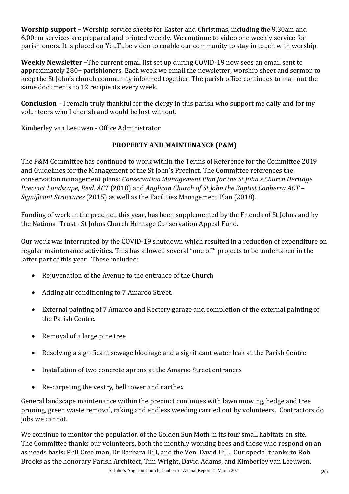**Worship support –** Worship service sheets for Easter and Christmas, including the 9.30am and 6.00pm services are prepared and printed weekly. We continue to video one weekly service for parishioners. It is placed on YouTube video to enable our community to stay in touch with worship.

**Weekly Newsletter –**The current email list set up during COVID-19 now sees an email sent to approximately 280+ parishioners. Each week we email the newsletter, worship sheet and sermon to keep the St John's church community informed together. The parish office continues to mail out the same documents to 12 recipients every week.

**Conclusion** – I remain truly thankful for the clergy in this parish who support me daily and for my volunteers who I cherish and would be lost without.

Kimberley van Leeuwen - Office Administrator

#### **PROPERTY AND MAINTENANCE (P&M)**

The P&M Committee has continued to work within the Terms of Reference for the Committee 2019 and Guidelines for the Management of the St John's Precinct. The Committee references the conservation management plans: *Conservation Management Plan for the St John's Church Heritage Precinct Landscape, Reid, ACT* (2010) and *Anglican Church of St John the Baptist Canberra ACT – Significant Structures* (2015) as well as the Facilities Management Plan (2018).

Funding of work in the precinct, this year, has been supplemented by the Friends of St Johns and by the National Trust - St Johns Church Heritage Conservation Appeal Fund.

Our work was interrupted by the COVID-19 shutdown which resulted in a reduction of expenditure on regular maintenance activities. This has allowed several "one off" projects to be undertaken in the latter part of this year. These included:

- Rejuvenation of the Avenue to the entrance of the Church
- Adding air conditioning to 7 Amaroo Street.
- External painting of 7 Amaroo and Rectory garage and completion of the external painting of the Parish Centre.
- Removal of a large pine tree
- Resolving a significant sewage blockage and a significant water leak at the Parish Centre
- Installation of two concrete aprons at the Amaroo Street entrances
- Re-carpeting the vestry, bell tower and narthex

General landscape maintenance within the precinct continues with lawn mowing, hedge and tree pruning, green waste removal, raking and endless weeding carried out by volunteers. Contractors do jobs we cannot.

We continue to monitor the population of the Golden Sun Moth in its four small habitats on site. The Committee thanks our volunteers, both the monthly working bees and those who respond on an as needs basis: Phil Creelman, Dr Barbara Hill, and the Ven. David Hill. Our special thanks to Rob Brooks as the honorary Parish Architect, Tim Wright, David Adams, and Kimberley van Leeuwen.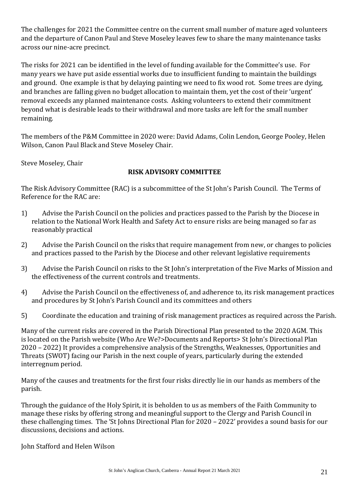The challenges for 2021 the Committee centre on the current small number of mature aged volunteers and the departure of Canon Paul and Steve Moseley leaves few to share the many maintenance tasks across our nine-acre precinct.

The risks for 2021 can be identified in the level of funding available for the Committee's use. For many years we have put aside essential works due to insufficient funding to maintain the buildings and ground. One example is that by delaying painting we need to fix wood rot. Some trees are dying, and branches are falling given no budget allocation to maintain them, yet the cost of their 'urgent' removal exceeds any planned maintenance costs. Asking volunteers to extend their commitment beyond what is desirable leads to their withdrawal and more tasks are left for the small number remaining.

The members of the P&M Committee in 2020 were: David Adams, Colin Lendon, George Pooley, Helen Wilson, Canon Paul Black and Steve Moseley Chair.

Steve Moseley, Chair

#### **RISK ADVISORY COMMITTEE**

The Risk Advisory Committee (RAC) is a subcommittee of the St John's Parish Council. The Terms of Reference for the RAC are:

- 1) Advise the Parish Council on the policies and practices passed to the Parish by the Diocese in relation to the National Work Health and Safety Act to ensure risks are being managed so far as reasonably practical
- 2) Advise the Parish Council on the risks that require management from new, or changes to policies and practices passed to the Parish by the Diocese and other relevant legislative requirements
- 3) Advise the Parish Council on risks to the St John's interpretation of the Five Marks of Mission and the effectiveness of the current controls and treatments.
- 4) Advise the Parish Council on the effectiveness of, and adherence to, its risk management practices and procedures by St John's Parish Council and its committees and others
- 5) Coordinate the education and training of risk management practices as required across the Parish.

Many of the current risks are covered in the Parish Directional Plan presented to the 2020 AGM. This is located on the Parish website (Who Are We?>Documents and Reports> St John's Directional Plan 2020 – 2022) It provides a comprehensive analysis of the Strengths, Weaknesses, Opportunities and Threats (SWOT) facing our Parish in the next couple of years, particularly during the extended interregnum period.

Many of the causes and treatments for the first four risks directly lie in our hands as members of the parish.

Through the guidance of the Holy Spirit, it is beholden to us as members of the Faith Community to manage these risks by offering strong and meaningful support to the Clergy and Parish Council in these challenging times. The 'St Johns Directional Plan for 2020 – 2022' provides a sound basis for our discussions, decisions and actions.

John Stafford and Helen Wilson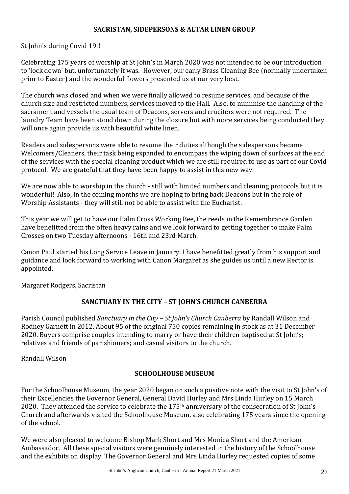#### **SACRISTAN, SIDEPERSONS & ALTAR LINEN GROUP**

St John's during Covid 19!!

Celebrating 175 years of worship at St John's in March 2020 was not intended to be our introduction to 'lock down' but, unfortunately it was. However, our early Brass Cleaning Bee (normally undertaken prior to Easter) and the wonderful flowers presented us at our very best.

The church was closed and when we were finally allowed to resume services, and because of the church size and restricted numbers, services moved to the Hall. Also, to minimise the handling of the sacrament and vessels the usual team of Deacons, servers and crucifers were not required. The laundry Team have been stood down during the closure but with more services being conducted they will once again provide us with beautiful white linen.

Readers and sidespersons were able to resume their duties although the sidespersons became Welcomers/Cleaners, their task being expanded to encompass the wiping down of surfaces at the end of the services with the special cleaning product which we are still required to use as part of our Covid protocol. We are grateful that they have been happy to assist in this new way.

We are now able to worship in the church - still with limited numbers and cleaning protocols but it is wonderful! Also, in the coming months we are hoping to bring back Deacons but in the role of Worship Assistants - they will still not be able to assist with the Eucharist.

This year we will get to have our Palm Cross Working Bee, the reeds in the Remembrance Garden have benefitted from the often heavy rains and we look forward to getting together to make Palm Crosses on two Tuesday afternoons - 16th and 23rd March.

Canon Paul started his Long Service Leave in January. I have benefitted greatly from his support and guidance and look forward to working with Canon Margaret as she guides us until a new Rector is appointed.

Margaret Rodgers, Sacristan

#### **SANCTUARY IN THE CITY – ST JOHN'S CHURCH CANBERRA**

Parish Council published *Sanctuary in the City – St John's Church Canberra* by Randall Wilson and Rodney Garnett in 2012. About 95 of the original 750 copies remaining in stock as at 31 December 2020. Buyers comprise couples intending to marry or have their children baptised at St John's; relatives and friends of parishioners; and casual visitors to the church.

Randall Wilson

#### **SCHOOLHOUSE MUSEUM**

For the Schoolhouse Museum, the year 2020 began on such a positive note with the visit to St John's of their Excellencies the Governor General, General David Hurley and Mrs Linda Hurley on 15 March 2020. They attended the service to celebrate the 175<sup>th</sup> anniversary of the consecration of St John's Church and afterwards visited the Schoolhouse Museum, also celebrating 175 years since the opening of the school.

We were also pleased to welcome Bishop Mark Short and Mrs Monica Short and the American Ambassador. All these special visitors were genuinely interested in the history of the Schoolhouse and the exhibits on display. The Governor General and Mrs Linda Hurley requested copies of some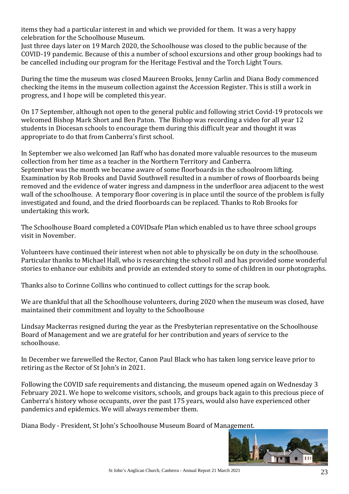items they had a particular interest in and which we provided for them. It was a very happy celebration for the Schoolhouse Museum.

Just three days later on 19 March 2020, the Schoolhouse was closed to the public because of the COVID-19 pandemic. Because of this a number of school excursions and other group bookings had to be cancelled including our program for the Heritage Festival and the Torch Light Tours.

During the time the museum was closed Maureen Brooks, Jenny Carlin and Diana Body commenced checking the items in the museum collection against the Accession Register. This is still a work in progress, and I hope will be completed this year.

On 17 September, although not open to the general public and following strict Covid-19 protocols we welcomed Bishop Mark Short and Ben Paton. The Bishop was recording a video for all year 12 students in Diocesan schools to encourage them during this difficult year and thought it was appropriate to do that from Canberra's first school.

In September we also welcomed Jan Raff who has donated more valuable resources to the museum collection from her time as a teacher in the Northern Territory and Canberra. September was the month we became aware of some floorboards in the schoolroom lifting. Examination by Rob Brooks and David Southwell resulted in a number of rows of floorboards being removed and the evidence of water ingress and dampness in the underfloor area adjacent to the west wall of the schoolhouse. A temporary floor covering is in place until the source of the problem is fully investigated and found, and the dried floorboards can be replaced. Thanks to Rob Brooks for undertaking this work.

The Schoolhouse Board completed a COVIDsafe Plan which enabled us to have three school groups visit in November.

Volunteers have continued their interest when not able to physically be on duty in the schoolhouse. Particular thanks to Michael Hall, who is researching the school roll and has provided some wonderful stories to enhance our exhibits and provide an extended story to some of children in our photographs.

Thanks also to Corinne Collins who continued to collect cuttings for the scrap book.

We are thankful that all the Schoolhouse volunteers, during 2020 when the museum was closed, have maintained their commitment and loyalty to the Schoolhouse

Lindsay Mackerras resigned during the year as the Presbyterian representative on the Schoolhouse Board of Management and we are grateful for her contribution and years of service to the schoolhouse.

In December we farewelled the Rector, Canon Paul Black who has taken long service leave prior to retiring as the Rector of St John's in 2021.

Following the COVID safe requirements and distancing, the museum opened again on Wednesday 3 February 2021. We hope to welcome visitors, schools, and groups back again to this precious piece of Canberra's history whose occupants, over the past 175 years, would also have experienced other pandemics and epidemics. We will always remember them.

Diana Body - President, St John's Schoolhouse Museum Board of Management.

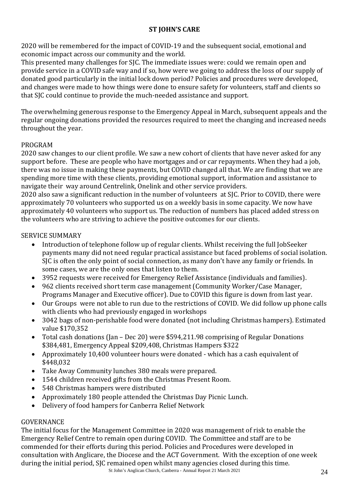#### **ST JOHN'S CARE**

2020 will be remembered for the impact of COVID-19 and the subsequent social, emotional and economic impact across our community and the world.

This presented many challenges for SJC. The immediate issues were: could we remain open and provide service in a COVID safe way and if so, how were we going to address the loss of our supply of donated good particularly in the initial lock down period? Policies and procedures were developed, and changes were made to how things were done to ensure safety for volunteers, staff and clients so that SJC could continue to provide the much-needed assistance and support.

The overwhelming generous response to the Emergency Appeal in March, subsequent appeals and the regular ongoing donations provided the resources required to meet the changing and increased needs throughout the year.

#### PROGRAM

2020 saw changes to our client profile. We saw a new cohort of clients that have never asked for any support before. These are people who have mortgages and or car repayments. When they had a job, there was no issue in making these payments, but COVID changed all that. We are finding that we are spending more time with these clients, providing emotional support, information and assistance to navigate their way around Centrelink, Onelink and other service providers.

2020 also saw a significant reduction in the number of volunteers at SJC. Prior to COVID, there were approximately 70 volunteers who supported us on a weekly basis in some capacity. We now have approximately 40 volunteers who support us. The reduction of numbers has placed added stress on the volunteers who are striving to achieve the positive outcomes for our clients.

#### SERVICE SUMMARY

- Introduction of telephone follow up of regular clients. Whilst receiving the full JobSeeker payments many did not need regular practical assistance but faced problems of social isolation. SJC is often the only point of social connection, as many don't have any family or friends. In some cases, we are the only ones that listen to them.
- 3952 requests were received for Emergency Relief Assistance (individuals and families).
- 962 clients received short term case management (Community Worker/Case Manager, Programs Manager and Executive officer). Due to COVID this figure is down from last year.
- Our Groups were not able to run due to the restrictions of COVID. We did follow up phone calls with clients who had previously engaged in workshops
- 3042 bags of non-perishable food were donated (not including Christmas hampers). Estimated value \$170,352
- Total cash donations (Jan Dec 20) were \$594.211.98 comprising of Regular Donations \$384,481, Emergency Appeal \$209,408, Christmas Hampers \$322
- Approximately 10,400 volunteer hours were donated which has a cash equivalent of \$448,032
- Take Away Community lunches 380 meals were prepared.
- 1544 children received gifts from the Christmas Present Room.
- 548 Christmas hampers were distributed
- Approximately 180 people attended the Christmas Day Picnic Lunch.
- Delivery of food hampers for Canberra Relief Network

#### GOVERNANCE

The initial focus for the Management Committee in 2020 was management of risk to enable the Emergency Relief Centre to remain open during COVID. The Committee and staff are to be commended for their efforts during this period. Policies and Procedures were developed in consultation with Anglicare, the Diocese and the ACT Government. With the exception of one week during the initial period, SJC remained open whilst many agencies closed during this time.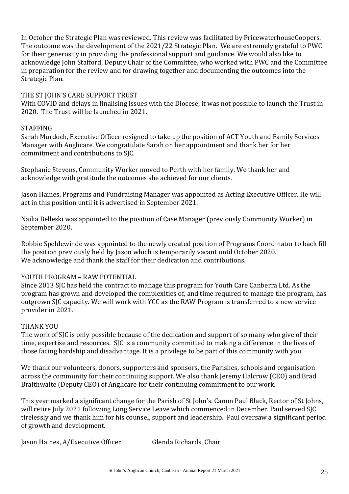In October the Strategic Plan was reviewed. This review was facilitated by PricewaterhouseCoopers. The outcome was the development of the 2021/22 Strategic Plan. We are extremely grateful to PWC for their generosity in providing the professional support and guidance. We would also like to acknowledge John Stafford, Deputy Chair of the Committee, who worked with PWC and the Committee in preparation for the review and for drawing together and documenting the outcomes into the Strategic Plan.

#### THE ST JOHN'S CARE SUPPORT TRUST

With COVID and delays in finalising issues with the Diocese, it was not possible to launch the Trust in 2020. The Trust will be launched in 2021.

#### **STAFFING**

Sarah Murdoch, Executive Officer resigned to take up the position of ACT Youth and Family Services Manager with Anglicare. We congratulate Sarah on her appointment and thank her for her commitment and contributions to SJC.

Stephanie Stevens, Community Worker moved to Perth with her family. We thank her and acknowledge with gratitude the outcomes she achieved for our clients.

Jason Haines, Programs and Fundraising Manager was appointed as Acting Executive Officer. He will act in this position until it is advertised in September 2021.

Nailia Belleski was appointed to the position of Case Manager (previously Community Worker) in September 2020.

Robbie Speldewinde was appointed to the newly created position of Programs Coordinator to back fill the position previously held by Jason which is temporarily vacant until October 2020. We acknowledge and thank the staff for their dedication and contributions.

#### YOUTH PROGRAM – RAW POTENTIAL

Since 2013 SJC has held the contract to manage this program for Youth Care Canberra Ltd. As the program has grown and developed the complexities of, and time required to manage the program, has outgrown SJC capacity. We will work with YCC as the RAW Program is transferred to a new service provider in 2021.

#### THANK YOU

The work of SJC is only possible because of the dedication and support of so many who give of their time, expertise and resources. SJC is a community committed to making a difference in the lives of those facing hardship and disadvantage. It is a privilege to be part of this community with you.

We thank our volunteers, donors, supporters and sponsors, the Parishes, schools and organisation across the community for their continuing support. We also thank Jeremy Halcrow (CEO) and Brad Braithwaite (Deputy CEO) of Anglicare for their continuing commitment to our work.

This year marked a significant change for the Parish of St John's. Canon Paul Black, Rector of St Johns, will retire July 2021 following Long Service Leave which commenced in December. Paul served SJC tirelessly and we thank him for his counsel, support and leadership. Paul oversaw a significant period of growth and development.

Jason Haines, A/Executive Officer Glenda Richards, Chair